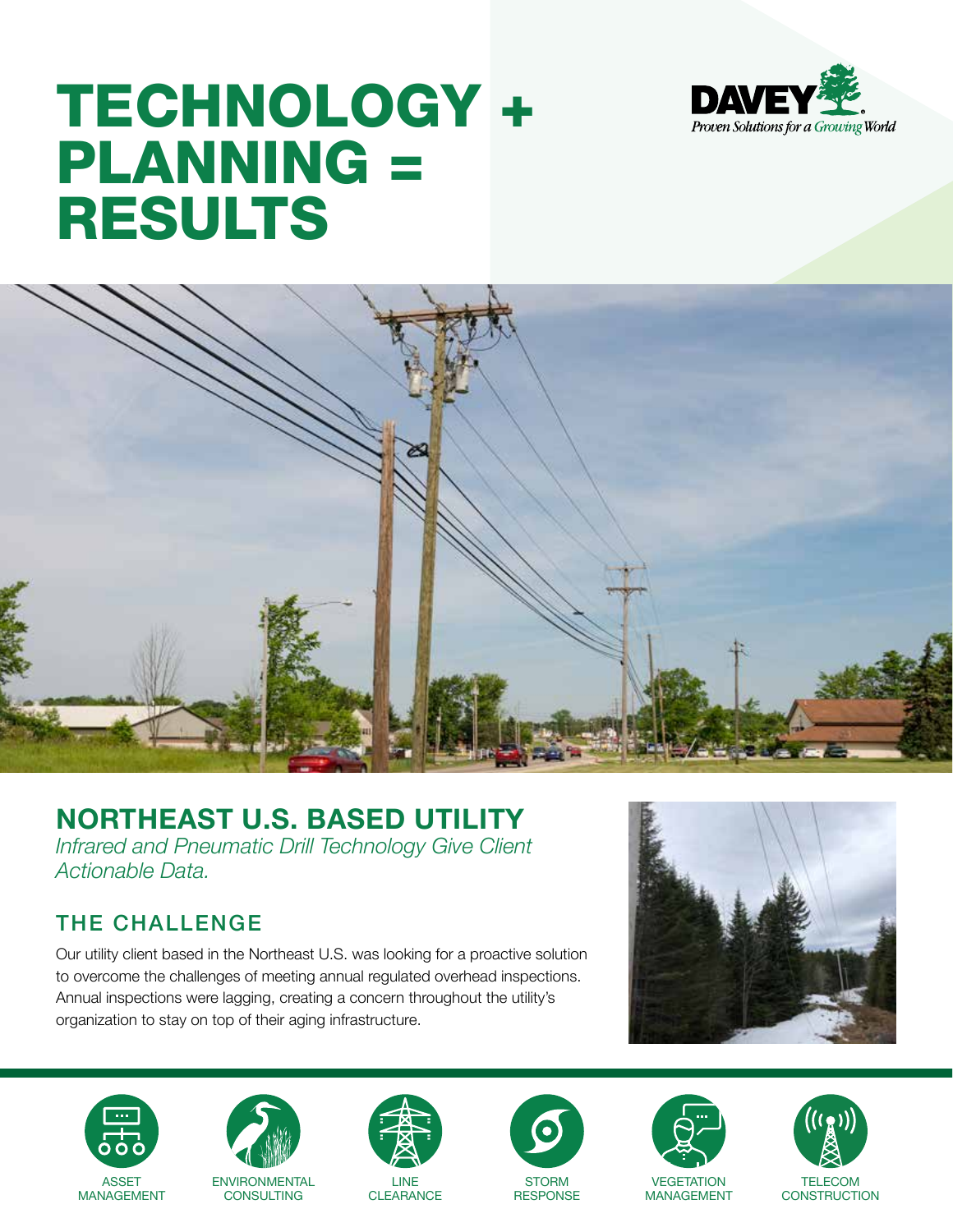

# TECHNOLOGY + PLANNING = RESULTS



## **NORTHEAST U.S. BASED UTILITY**

*Infrared and Pneumatic Drill Technology Give Client Actionable Data.*

## THE CHALLENGE

Our utility client based in the Northeast U.S. was looking for a proactive solution to overcome the challenges of meeting annual regulated overhead inspections. Annual inspections were lagging, creating a concern throughout the utility's organization to stay on top of their aging infrastructure.